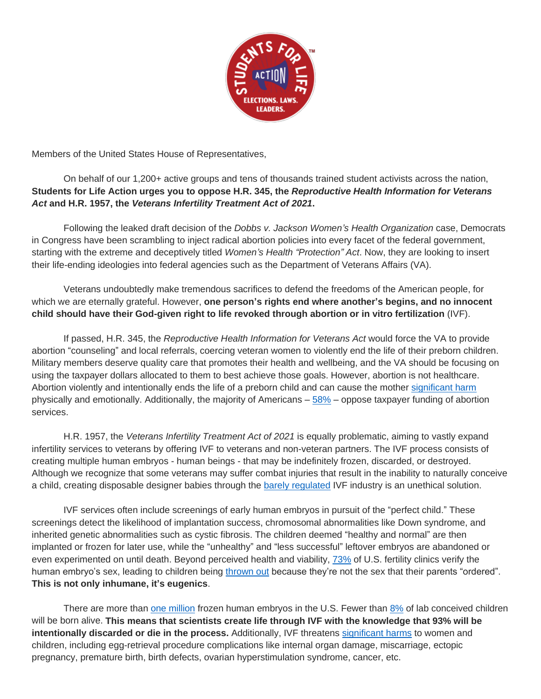

Members of the United States House of Representatives,

On behalf of our 1,200+ active groups and tens of thousands trained student activists across the nation, **Students for Life Action urges you to oppose H.R. 345, the** *Reproductive Health Information for Veterans Act* **and H.R. 1957, the** *Veterans Infertility Treatment Act of 2021***.**

Following the leaked draft decision of the *Dobbs v. Jackson Women's Health Organization* case, Democrats in Congress have been scrambling to inject radical abortion policies into every facet of the federal government, starting with the extreme and deceptively titled *Women's Health "Protection" Act*. Now, they are looking to insert their life-ending ideologies into federal agencies such as the Department of Veterans Affairs (VA).

Veterans undoubtedly make tremendous sacrifices to defend the freedoms of the American people, for which we are eternally grateful. However, **one person's rights end where another's begins, and no innocent child should have their God-given right to life revoked through abortion or in vitro fertilization** (IVF).

If passed, H.R. 345, the *Reproductive Health Information for Veterans Act* would force the VA to provide abortion "counseling" and local referrals, coercing veteran women to violently end the life of their preborn children. Military members deserve quality care that promotes their health and wellbeing, and the VA should be focusing on using the taxpayer dollars allocated to them to best achieve those goals. However, abortion is not healthcare. Abortion violently and intentionally ends the life of a preborn child and can cause the mother [significant harm](https://studentsforlife.org/learn/abortionrisks/) physically and emotionally. Additionally, the majority of Americans – [58%](https://www.kofc.org/en/news-room/polls/american-abortion-opinions-remain-consistent.html) – oppose taxpayer funding of abortion services.

H.R. 1957, the *Veterans Infertility Treatment Act of 2021* is equally problematic, aiming to vastly expand infertility services to veterans by offering IVF to veterans and non-veteran partners. The IVF process consists of creating multiple human embryos - human beings - that may be indefinitely frozen, discarded, or destroyed. Although we recognize that some veterans may suffer combat injuries that result in the inability to naturally conceive a child, creating disposable designer babies through the [barely regulated](https://thefederalist.com/2022/05/24/embryo-dumping-fertility-industry-is-panicked-over-the-potential-overturn-of-roe-v-wade/) IVF industry is an unethical solution.

IVF services often include screenings of early human embryos in pursuit of the "perfect child." These screenings detect the likelihood of implantation success, chromosomal abnormalities like Down syndrome, and inherited genetic abnormalities such as cystic fibrosis. The children deemed "healthy and normal" are then implanted or frozen for later use, while the "unhealthy" and "less successful" leftover embryos are abandoned or even experimented on until death. Beyond perceived health and viability, [73%](https://pubmed.ncbi.nlm.nih.gov/29080968/) of U.S. fertility clinics verify the human embryo's sex, leading to children being [thrown out](https://www.washingtonpost.com/national/health-science/from-sex-selection-to-surrogates-american-ivf-clinics-provide-services-outlawed-elsewhere/2018/12/29/0b596668-03c0-11e9-9122-82e98f91ee6f_story.html) because they're not the sex that their parents "ordered". **This is not only inhumane, it's eugenics**.

There are more than [one million](https://www.tandfonline.com/doi/full/10.1080/14636778.2018.1546574) frozen human embryos in the U.S. Fewer than [8%](https://www.reuters.com/article/us-fertility/conception-is-a-rare-event-fertility-study-shows-idUSTRE69O50T20101025) of lab conceived children will be born alive. **This means that scientists create life through IVF with the knowledge that 93% will be intentionally discarded or die in the process.** Additionally, IVF threatens [significant harms](https://www.mayoclinic.org/tests-procedures/in-vitro-fertilization/about/pac-20384716) to women and children, including egg-retrieval procedure complications like internal organ damage, miscarriage, ectopic pregnancy, premature birth, birth defects, ovarian hyperstimulation syndrome, cancer, etc.